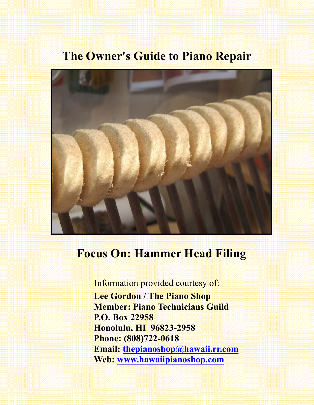# **The Owner's Guide to Piano Repair**



# **Focus On: Hammer Head Filing**

Information provided courtesy of:  **Lee Gordon / The Piano Shop Member: Piano Technicians Guild P.O. Box 22958 Honolulu, HI 96823-2958 Phone: (808)722-0618 Email: thepianoshop@hawaii.rr.com Web: www.hawaiipianoshop.com**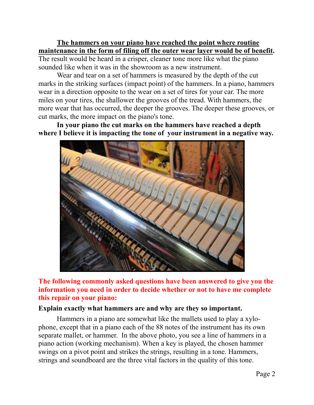**The hammers on your piano have reached the point where routine maintenance in the form of filing off the outer wear layer would be of benefit.** 

The result would be heard in a crisper, cleaner tone more like what the piano sounded like when it was in the showroom as a new instrument.

 Wear and tear on a set of hammers is measured by the depth of the cut marks in the striking surfaces (impact point) of the hammers. In a piano, hammers wear in a direction opposite to the wear on a set of tires for your car. The more miles on your tires, the shallower the grooves of the tread. With hammers, the more wear that has occurred, the deeper the grooves. The deeper these grooves, or cut marks, the more impact on the piano's tone.

**In your piano the cut marks on the hammers have reached a depth where I believe it is impacting the tone of your instrument in a negative way.**



**The following commonly asked questions have been answered to give you the information you need in order to decide whether or not to have me complete this repair on your piano:** 

#### **Explain exactly what hammers are and why are they so important.**

Hammers in a piano are somewhat like the mallets used to play a xylophone, except that in a piano each of the 88 notes of the instrument has its own separate mallet, or hammer. In the above photo, you see a line of hammers in a piano action (working mechanism). When a key is played, the chosen hammer swings on a pivot point and strikes the strings, resulting in a tone. Hammers, strings and soundboard are the three vital factors in the quality of this tone.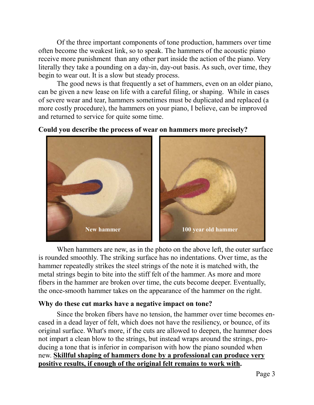Of the three important components of tone production, hammers over time often become the weakest link, so to speak. The hammers of the acoustic piano receive more punishment than any other part inside the action of the piano. Very literally they take a pounding on a day-in, day-out basis. As such, over time, they begin to wear out. It is a slow but steady process.

 The good news is that frequently a set of hammers, even on an older piano, can be given a new lease on life with a careful filing, or shaping. While in cases of severe wear and tear, hammers sometimes must be duplicated and replaced (a more costly procedure), the hammers on your piano, I believe, can be improved and returned to service for quite some time.

#### **Could you describe the process of wear on hammers more precisely?**



 When hammers are new, as in the photo on the above left, the outer surface is rounded smoothly. The striking surface has no indentations. Over time, as the hammer repeatedly strikes the steel strings of the note it is matched with, the metal strings begin to bite into the stiff felt of the hammer. As more and more fibers in the hammer are broken over time, the cuts become deeper. Eventually, the once-smooth hammer takes on the appearance of the hammer on the right.

#### **Why do these cut marks have a negative impact on tone?**

 Since the broken fibers have no tension, the hammer over time becomes encased in a dead layer of felt, which does not have the resiliency, or bounce, of its original surface. What's more, if the cuts are allowed to deepen, the hammer does not impart a clean blow to the strings, but instead wraps around the strings, producing a tone that is inferior in comparison with how the piano sounded when new. **Skillful shaping of hammers done by a professional can produce very positive results, if enough of the original felt remains to work with.**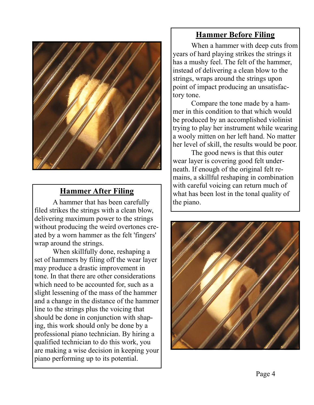

## **Hammer After Filing**

A hammer that has been carefully filed strikes the strings with a clean blow, delivering maximum power to the strings without producing the weird overtones created by a worn hammer as the felt 'fingers' wrap around the strings.

 When skillfully done, reshaping a set of hammers by filing off the wear layer may produce a drastic improvement in tone. In that there are other considerations which need to be accounted for, such as a slight lessening of the mass of the hammer and a change in the distance of the hammer line to the strings plus the voicing that should be done in conjunction with shaping, this work should only be done by a professional piano technician. By hiring a qualified technician to do this work, you are making a wise decision in keeping your piano performing up to its potential.

## **Hammer Before Filing**

When a hammer with deep cuts from years of hard playing strikes the strings it has a mushy feel. The felt of the hammer, instead of delivering a clean blow to the strings, wraps around the strings upon point of impact producing an unsatisfactory tone.

 Compare the tone made by a hammer in this condition to that which would be produced by an accomplished violinist trying to play her instrument while wearing a wooly mitten on her left hand. No matter her level of skill, the results would be poor.

 The good news is that this outer wear layer is covering good felt underneath. If enough of the original felt remains, a skillful reshaping in combination with careful voicing can return much of what has been lost in the tonal quality of the piano.

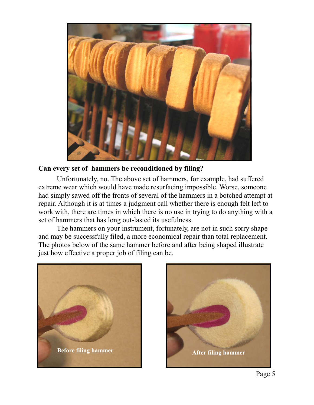

### **Can every set of hammers be reconditioned by filing?**

 Unfortunately, no. The above set of hammers, for example, had suffered extreme wear which would have made resurfacing impossible. Worse, someone had simply sawed off the fronts of several of the hammers in a botched attempt at repair. Although it is at times a judgment call whether there is enough felt left to work with, there are times in which there is no use in trying to do anything with a set of hammers that has long out-lasted its usefulness.

 The hammers on your instrument, fortunately, are not in such sorry shape and may be successfully filed, a more economical repair than total replacement. The photos below of the same hammer before and after being shaped illustrate just how effective a proper job of filing can be.



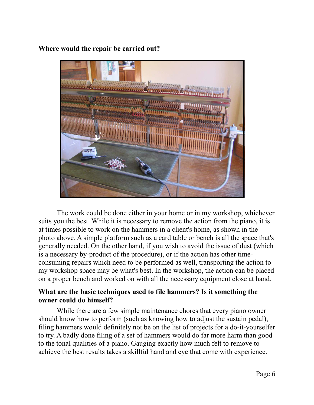

**Where would the repair be carried out?** 

 The work could be done either in your home or in my workshop, whichever suits you the best. While it is necessary to remove the action from the piano, it is at times possible to work on the hammers in a client's home, as shown in the photo above. A simple platform such as a card table or bench is all the space that's generally needed. On the other hand, if you wish to avoid the issue of dust (which is a necessary by-product of the procedure), or if the action has other timeconsuming repairs which need to be performed as well, transporting the action to my workshop space may be what's best. In the workshop, the action can be placed on a proper bench and worked on with all the necessary equipment close at hand.

### **What are the basic techniques used to file hammers? Is it something the owner could do himself?**

While there are a few simple maintenance chores that every piano owner should know how to perform (such as knowing how to adjust the sustain pedal), filing hammers would definitely not be on the list of projects for a do-it-yourselfer to try. A badly done filing of a set of hammers would do far more harm than good to the tonal qualities of a piano. Gauging exactly how much felt to remove to achieve the best results takes a skillful hand and eye that come with experience.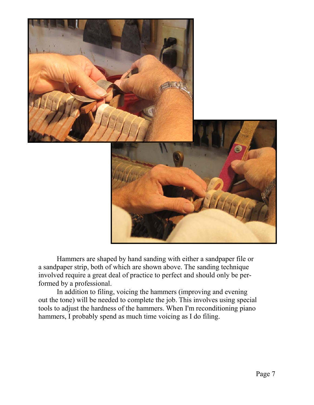

 Hammers are shaped by hand sanding with either a sandpaper file or a sandpaper strip, both of which are shown above. The sanding technique involved require a great deal of practice to perfect and should only be performed by a professional.

 In addition to filing, voicing the hammers (improving and evening out the tone) will be needed to complete the job. This involves using special tools to adjust the hardness of the hammers. When I'm reconditioning piano hammers, I probably spend as much time voicing as I do filing.